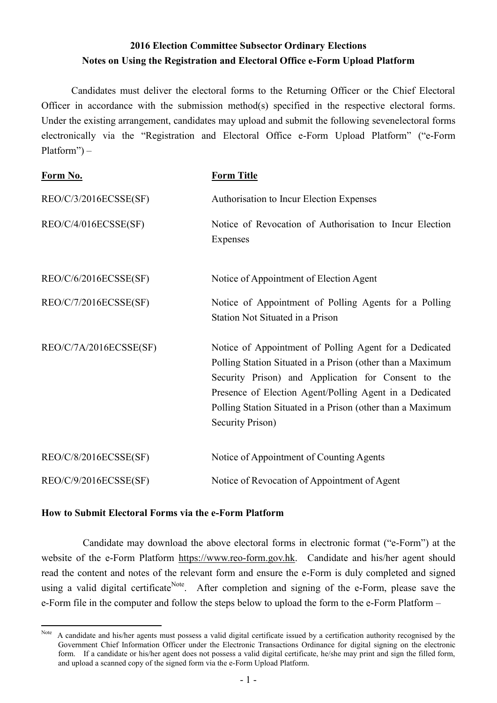## **2016 Election Committee Subsector Ordinary Elections Notes on Using the Registration and Electoral Office e-Form Upload Platform**

Candidates must deliver the electoral forms to the Returning Officer or the Chief Electoral Officer in accordance with the submission method(s) specified in the respective electoral forms. Under the existing arrangement, candidates may upload and submit the following sevenelectoral forms electronically via the "Registration and Electoral Office e-Form Upload Platform" ("e-Form Platform") –

| Form No.               | <b>Form Title</b>                                                                                                                                                                                                                                                                                                        |
|------------------------|--------------------------------------------------------------------------------------------------------------------------------------------------------------------------------------------------------------------------------------------------------------------------------------------------------------------------|
| REO/C/3/2016ECSSE(SF)  | Authorisation to Incur Election Expenses                                                                                                                                                                                                                                                                                 |
| REO/C/4/016ECSSE(SF)   | Notice of Revocation of Authorisation to Incur Election<br>Expenses                                                                                                                                                                                                                                                      |
| REO/C/6/2016ECSSE(SF)  | Notice of Appointment of Election Agent                                                                                                                                                                                                                                                                                  |
| REO/C/7/2016ECSSE(SF)  | Notice of Appointment of Polling Agents for a Polling<br>Station Not Situated in a Prison                                                                                                                                                                                                                                |
| REO/C/7A/2016ECSSE(SF) | Notice of Appointment of Polling Agent for a Dedicated<br>Polling Station Situated in a Prison (other than a Maximum<br>Security Prison) and Application for Consent to the<br>Presence of Election Agent/Polling Agent in a Dedicated<br>Polling Station Situated in a Prison (other than a Maximum<br>Security Prison) |
| REO/C/8/2016ECSSE(SF)  | Notice of Appointment of Counting Agents                                                                                                                                                                                                                                                                                 |
| REO/C/9/2016ECSSE(SF)  | Notice of Revocation of Appointment of Agent                                                                                                                                                                                                                                                                             |

## **How to Submit Electoral Forms via the e-Form Platform**

Candidate may download the above electoral forms in electronic format ("e-Form") at the website of the e-Form Platform https://www.reo-form.gov.hk. Candidate and his/her agent should read the content and notes of the relevant form and ensure the e-Form is duly completed and signed using a valid digital certificate<sup>Note</sup>. After completion and signing of the e-Form, please save the e-Form file in the computer and follow the steps below to upload the form to the e-Form Platform –

 $\overline{a}$ Note A candidate and his/her agents must possess a valid digital certificate issued by a certification authority recognised by the Government Chief Information Officer under the Electronic Transactions Ordinance for digital signing on the electronic form. If a candidate or his/her agent does not possess a valid digital certificate, he/she may print and sign the filled form, and upload a scanned copy of the signed form via the e-Form Upload Platform.